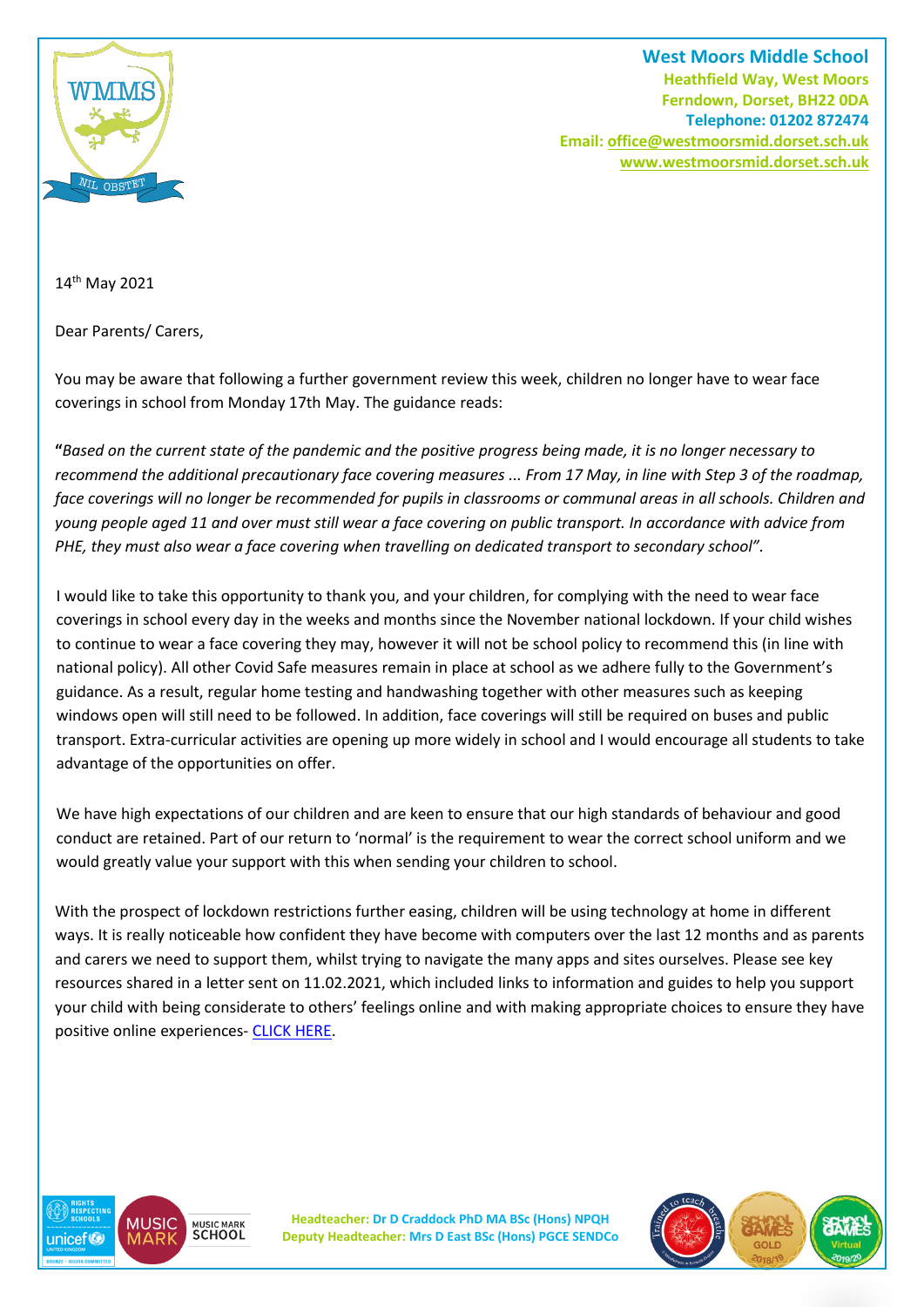

**West Moors Middle School Heathfield Way, West Moors Ferndown, Dorset, BH22 0DA Telephone: 01202 872474 Email[: office@westmoorsmid.dorset.sch.uk](mailto:office@westmoorsmid.dorset.sch.uk) www.westmoorsmid.dorset.sch.uk**

14th May 2021

Dear Parents/ Carers,

You may be aware that following a further government review this week, children no longer have to wear face coverings in school from Monday 17th May. The guidance reads:

**"***Based on the current state of the pandemic and the positive progress being made, it is no longer necessary to recommend the additional precautionary face covering measures ... From 17 May, in line with Step 3 of the roadmap, face coverings will no longer be recommended for pupils in classrooms or communal areas in all schools. Children and young people aged 11 and over must still wear a face covering on public transport. In accordance with advice from PHE, they must also wear a face covering when travelling on dedicated transport to secondary school".*

I would like to take this opportunity to thank you, and your children, for complying with the need to wear face coverings in school every day in the weeks and months since the November national lockdown. If your child wishes to continue to wear a face covering they may, however it will not be school policy to recommend this (in line with national policy). All other Covid Safe measures remain in place at school as we adhere fully to the Government's guidance. As a result, regular home testing and handwashing together with other measures such as keeping windows open will still need to be followed. In addition, face coverings will still be required on buses and public transport. Extra-curricular activities are opening up more widely in school and I would encourage all students to take advantage of the opportunities on offer.

We have high expectations of our children and are keen to ensure that our high standards of behaviour and good conduct are retained. Part of our return to 'normal' is the requirement to wear the correct school uniform and we would greatly value your support with this when sending your children to school.

With the prospect of lockdown restrictions further easing, children will be using technology at home in different ways. It is really noticeable how confident they have become with computers over the last 12 months and as parents and carers we need to support them, whilst trying to navigate the many apps and sites ourselves. Please see key resources shared in a letter sent on 11.02.2021, which included links to information and guides to help you support your child with being considerate to others' feelings online and with making appropriate choices to ensure they have positive online experiences- [CLICK HERE.](https://westmoorsmid.dorset.sch.uk/uploads/media-file-1614092554.pdf)



**Headteacher: Dr D Craddock PhD MA BSc (Hons) NPQH Deputy Headteacher: Mrs D East BSc (Hons) PGCE SENDCo**